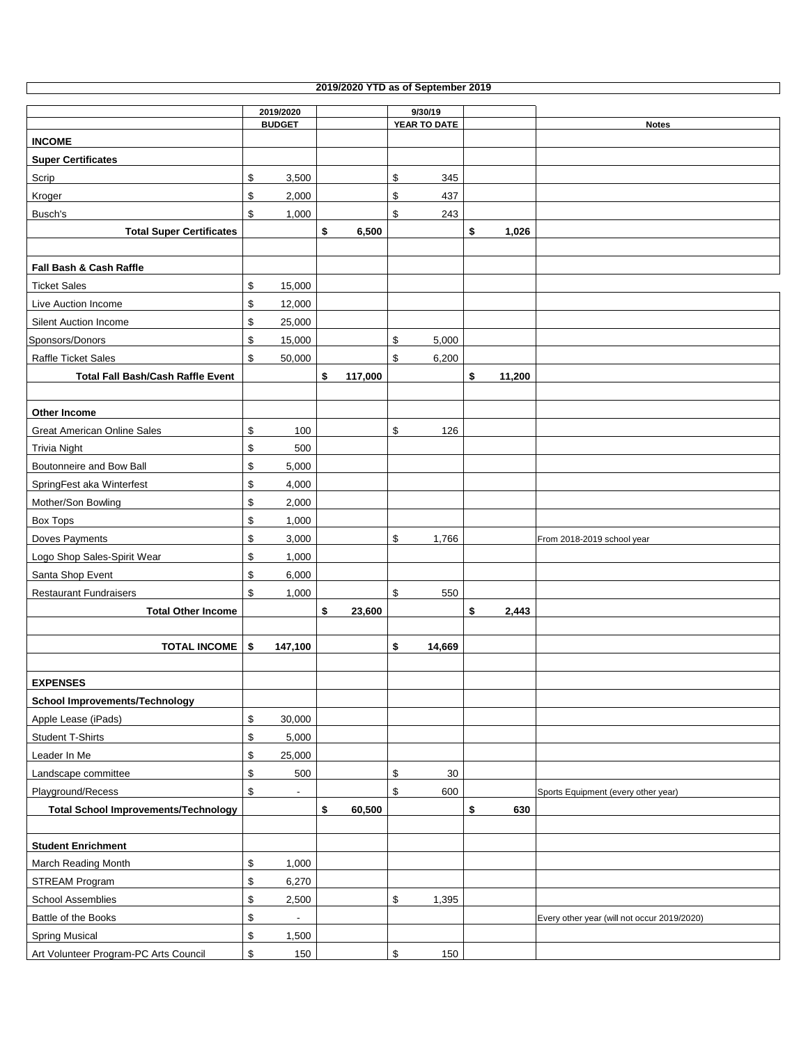| 2019/2020 YTD as of September 2019 |
|------------------------------------|

٦

|                                             | 2019/2020                      |               | 9/30/19              |              |                                             |
|---------------------------------------------|--------------------------------|---------------|----------------------|--------------|---------------------------------------------|
|                                             | <b>BUDGET</b>                  |               | YEAR TO DATE         |              | <b>Notes</b>                                |
| <b>INCOME</b>                               |                                |               |                      |              |                                             |
| <b>Super Certificates</b>                   |                                |               |                      |              |                                             |
| Scrip                                       | \$<br>3,500                    |               | \$<br>345            |              |                                             |
| Kroger                                      | \$<br>2,000                    |               | \$<br>437            |              |                                             |
| Busch's                                     | \$<br>1,000                    |               | $\mathsf{\$}$<br>243 |              |                                             |
| <b>Total Super Certificates</b>             |                                | \$<br>6,500   |                      | \$<br>1,026  |                                             |
|                                             |                                |               |                      |              |                                             |
| Fall Bash & Cash Raffle                     |                                |               |                      |              |                                             |
| <b>Ticket Sales</b>                         | \$<br>15,000                   |               |                      |              |                                             |
| Live Auction Income                         | \$<br>12,000                   |               |                      |              |                                             |
| Silent Auction Income                       | \$<br>25,000                   |               |                      |              |                                             |
| Sponsors/Donors                             | \$<br>15,000                   |               | \$<br>5,000          |              |                                             |
| Raffle Ticket Sales                         | \$<br>50,000                   |               | \$<br>6,200          |              |                                             |
| <b>Total Fall Bash/Cash Raffle Event</b>    |                                | \$<br>117,000 |                      | \$<br>11,200 |                                             |
|                                             |                                |               |                      |              |                                             |
| Other Income                                |                                |               |                      |              |                                             |
| <b>Great American Online Sales</b>          | \$<br>100                      |               | \$<br>126            |              |                                             |
| Trivia Night                                | \$<br>500                      |               |                      |              |                                             |
| Boutonneire and Bow Ball                    | \$<br>5,000                    |               |                      |              |                                             |
| SpringFest aka Winterfest                   | \$<br>4,000                    |               |                      |              |                                             |
| Mother/Son Bowling                          | \$<br>2,000                    |               |                      |              |                                             |
| <b>Box Tops</b>                             | \$<br>1,000                    |               |                      |              |                                             |
| Doves Payments                              | \$<br>3,000                    |               | \$<br>1,766          |              | From 2018-2019 school year                  |
| Logo Shop Sales-Spirit Wear                 | \$<br>1,000                    |               |                      |              |                                             |
| Santa Shop Event                            | \$<br>6,000                    |               |                      |              |                                             |
| <b>Restaurant Fundraisers</b>               | \$<br>1,000                    |               | $\mathfrak s$<br>550 |              |                                             |
| <b>Total Other Income</b>                   |                                | \$<br>23,600  |                      | \$<br>2,443  |                                             |
|                                             |                                |               |                      |              |                                             |
| <b>TOTAL INCOME</b>                         | -\$<br>147,100                 |               | \$<br>14,669         |              |                                             |
|                                             |                                |               |                      |              |                                             |
| <b>EXPENSES</b>                             |                                |               |                      |              |                                             |
| <b>School Improvements/Technology</b>       |                                |               |                      |              |                                             |
| Apple Lease (iPads)                         | \$<br>30,000                   |               |                      |              |                                             |
| <b>Student T-Shirts</b>                     | \$<br>5,000                    |               |                      |              |                                             |
| Leader In Me                                | \$<br>25,000                   |               |                      |              |                                             |
| Landscape committee                         | \$<br>500                      |               | \$<br>30             |              |                                             |
| Playground/Recess                           | \$<br>$\overline{\phantom{a}}$ |               | \$<br>600            |              | Sports Equipment (every other year)         |
| <b>Total School Improvements/Technology</b> |                                | \$<br>60,500  |                      | \$<br>630    |                                             |
|                                             |                                |               |                      |              |                                             |
| <b>Student Enrichment</b>                   |                                |               |                      |              |                                             |
| March Reading Month                         | \$<br>1,000                    |               |                      |              |                                             |
| <b>STREAM Program</b>                       | \$<br>6,270                    |               |                      |              |                                             |
| <b>School Assemblies</b>                    | \$<br>2,500                    |               | \$<br>1,395          |              |                                             |
| Battle of the Books                         | \$<br>$\overline{\phantom{a}}$ |               |                      |              | Every other year (will not occur 2019/2020) |
| <b>Spring Musical</b>                       | \$<br>1,500                    |               |                      |              |                                             |
| Art Volunteer Program-PC Arts Council       | \$<br>150                      |               | \$<br>150            |              |                                             |
|                                             |                                |               |                      |              |                                             |